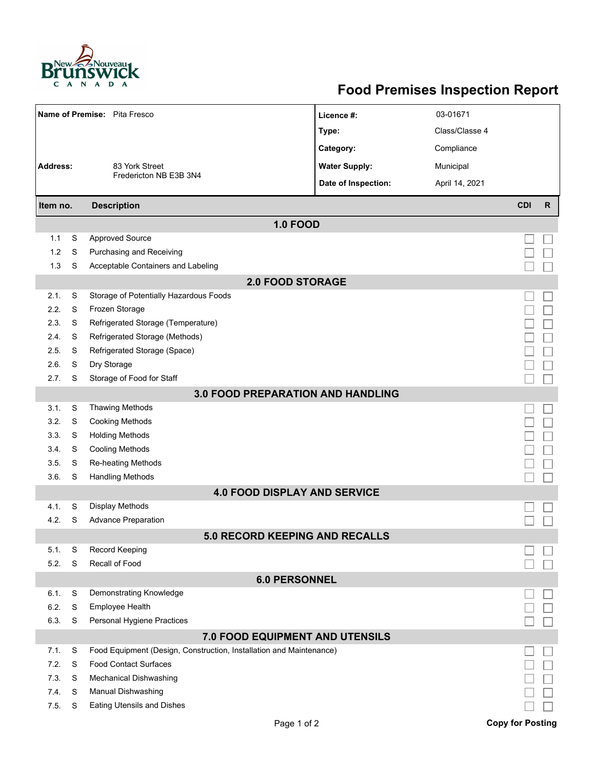

## **Food Premises Inspection Report**

| Name of Premise: Pita Fresco             |   |                                                                     | Licence #:           | 03-01671       |                         |              |  |  |  |  |
|------------------------------------------|---|---------------------------------------------------------------------|----------------------|----------------|-------------------------|--------------|--|--|--|--|
|                                          |   |                                                                     | Type:                | Class/Classe 4 |                         |              |  |  |  |  |
|                                          |   |                                                                     | Category:            | Compliance     |                         |              |  |  |  |  |
| <b>Address:</b><br>83 York Street        |   |                                                                     | <b>Water Supply:</b> | Municipal      |                         |              |  |  |  |  |
|                                          |   | Fredericton NB E3B 3N4                                              | Date of Inspection:  | April 14, 2021 |                         |              |  |  |  |  |
|                                          |   |                                                                     |                      |                |                         |              |  |  |  |  |
| Item no.                                 |   | <b>Description</b>                                                  |                      |                | <b>CDI</b>              | $\mathsf{R}$ |  |  |  |  |
|                                          |   | <b>1.0 FOOD</b>                                                     |                      |                |                         |              |  |  |  |  |
| 1.1                                      | S | <b>Approved Source</b>                                              |                      |                |                         |              |  |  |  |  |
| 1.2                                      | S | Purchasing and Receiving                                            |                      |                |                         |              |  |  |  |  |
| 1.3                                      | S | Acceptable Containers and Labeling                                  |                      |                |                         |              |  |  |  |  |
| <b>2.0 FOOD STORAGE</b>                  |   |                                                                     |                      |                |                         |              |  |  |  |  |
| 2.1.                                     | S | Storage of Potentially Hazardous Foods                              |                      |                |                         |              |  |  |  |  |
| 2.2.                                     | S | Frozen Storage                                                      |                      |                |                         |              |  |  |  |  |
| 2.3.                                     | S | Refrigerated Storage (Temperature)                                  |                      |                |                         |              |  |  |  |  |
| 2.4.                                     | S | Refrigerated Storage (Methods)                                      |                      |                |                         |              |  |  |  |  |
| 2.5.                                     | S | Refrigerated Storage (Space)                                        |                      |                |                         |              |  |  |  |  |
| 2.6.                                     | S | Dry Storage                                                         |                      |                |                         |              |  |  |  |  |
| 2.7.                                     | S | Storage of Food for Staff                                           |                      |                |                         |              |  |  |  |  |
| <b>3.0 FOOD PREPARATION AND HANDLING</b> |   |                                                                     |                      |                |                         |              |  |  |  |  |
| 3.1.                                     | S | <b>Thawing Methods</b>                                              |                      |                |                         |              |  |  |  |  |
| 3.2.                                     | S | <b>Cooking Methods</b>                                              |                      |                |                         |              |  |  |  |  |
| 3.3.                                     | S | <b>Holding Methods</b>                                              |                      |                |                         |              |  |  |  |  |
| 3.4.                                     | S | <b>Cooling Methods</b>                                              |                      |                |                         |              |  |  |  |  |
| 3.5.                                     | S | Re-heating Methods                                                  |                      |                |                         |              |  |  |  |  |
| 3.6.                                     | S | <b>Handling Methods</b>                                             |                      |                |                         |              |  |  |  |  |
|                                          |   | <b>4.0 FOOD DISPLAY AND SERVICE</b>                                 |                      |                |                         |              |  |  |  |  |
| 4.1.                                     | S | Display Methods                                                     |                      |                |                         |              |  |  |  |  |
| 4.2.                                     | S | <b>Advance Preparation</b>                                          |                      |                |                         |              |  |  |  |  |
|                                          |   | 5.0 RECORD KEEPING AND RECALLS                                      |                      |                |                         |              |  |  |  |  |
| 5.1.                                     | S | Record Keeping                                                      |                      |                |                         |              |  |  |  |  |
| 5.2.                                     | S | Recall of Food                                                      |                      |                |                         |              |  |  |  |  |
| <b>6.0 PERSONNEL</b>                     |   |                                                                     |                      |                |                         |              |  |  |  |  |
| 6.1.                                     | S | Demonstrating Knowledge                                             |                      |                |                         |              |  |  |  |  |
| 6.2.                                     | S | Employee Health                                                     |                      |                |                         |              |  |  |  |  |
| 6.3.                                     | S | Personal Hygiene Practices                                          |                      |                |                         |              |  |  |  |  |
|                                          |   | 7.0 FOOD EQUIPMENT AND UTENSILS                                     |                      |                |                         |              |  |  |  |  |
| 7.1.                                     | S | Food Equipment (Design, Construction, Installation and Maintenance) |                      |                |                         |              |  |  |  |  |
| 7.2.                                     | S | <b>Food Contact Surfaces</b>                                        |                      |                |                         |              |  |  |  |  |
| 7.3                                      | S | <b>Mechanical Dishwashing</b>                                       |                      |                |                         |              |  |  |  |  |
| 7.4.                                     | S | Manual Dishwashing                                                  |                      |                |                         |              |  |  |  |  |
| 7.5.                                     | S | <b>Eating Utensils and Dishes</b>                                   |                      |                |                         |              |  |  |  |  |
|                                          |   | Page 1 of 2                                                         |                      |                | <b>Copy for Posting</b> |              |  |  |  |  |